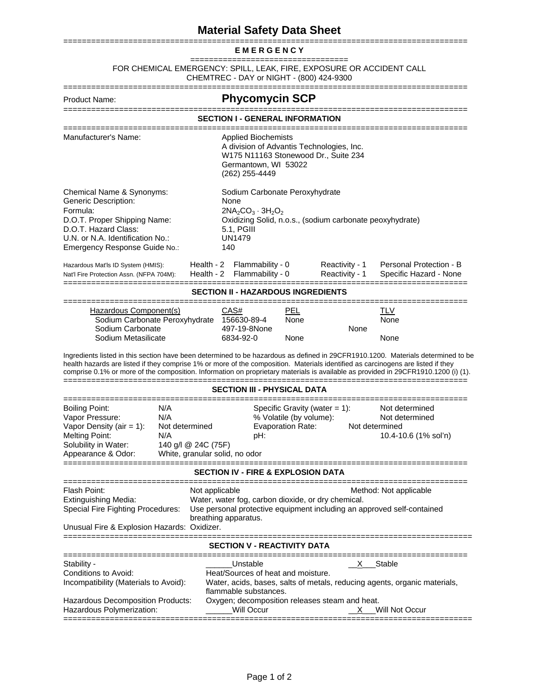## **Material Safety Data Sheet**

## ======================================================================================= **E M E R G E N C Y**

================================== FOR CHEMICAL EMERGENCY: SPILL, LEAK, FIRE, EXPOSURE OR ACCIDENT CALL CHEMTREC - DAY or NIGHT - (800) 424-9300

| Product Name:                                                                                                                                                                                                                                                                                                                                                                                              |                                                  |                                                                                                                                                                  | <b>Phycomycin SCP</b>                                                                                                                                                                                                                              |                                                                            |                                                   |  |
|------------------------------------------------------------------------------------------------------------------------------------------------------------------------------------------------------------------------------------------------------------------------------------------------------------------------------------------------------------------------------------------------------------|--------------------------------------------------|------------------------------------------------------------------------------------------------------------------------------------------------------------------|----------------------------------------------------------------------------------------------------------------------------------------------------------------------------------------------------------------------------------------------------|----------------------------------------------------------------------------|---------------------------------------------------|--|
|                                                                                                                                                                                                                                                                                                                                                                                                            |                                                  |                                                                                                                                                                  | SECTION I - GENERAL INFORMATION                                                                                                                                                                                                                    |                                                                            |                                                   |  |
| Manufacturer's Name:                                                                                                                                                                                                                                                                                                                                                                                       |                                                  | <b>Applied Biochemists</b><br>A division of Advantis Technologies, Inc.<br>W175 N11163 Stonewood Dr., Suite 234<br>Germantown, WI 53022<br>(262) 255-4449        |                                                                                                                                                                                                                                                    |                                                                            |                                                   |  |
| Chemical Name & Synonyms:<br>Generic Description:<br>Formula:<br>D.O.T. Proper Shipping Name:<br>D.O.T. Hazard Class:<br>U.N. or N.A. Identification No.:<br>Emergency Response Guide No.:                                                                                                                                                                                                                 |                                                  | Sodium Carbonate Peroxyhydrate<br>None<br>$2NA_2CO_3 \cdot 3H_2O_2$<br>Oxidizing Solid, n.o.s., (sodium carbonate peoxyhydrate)<br>$5.1,$ PGIII<br>UN1479<br>140 |                                                                                                                                                                                                                                                    |                                                                            |                                                   |  |
| Hazardous Mat'ls ID System (HMIS):<br>Nat'l Fire Protection Assn. (NFPA 704M):                                                                                                                                                                                                                                                                                                                             | Health - 2<br>Health - 2                         | Flammability - 0<br>Flammability - 0                                                                                                                             |                                                                                                                                                                                                                                                    | Reactivity - 1<br>Reactivity - 1                                           | Personal Protection - B<br>Specific Hazard - None |  |
|                                                                                                                                                                                                                                                                                                                                                                                                            |                                                  |                                                                                                                                                                  | SECTION II - HAZARDOUS INGREDIENTS                                                                                                                                                                                                                 |                                                                            |                                                   |  |
| Hazardous Component(s)<br>Sodium Carbonate Peroxyhydrate<br>Sodium Carbonate<br>Sodium Metasilicate                                                                                                                                                                                                                                                                                                        | CAS#<br>156630-89-4<br>497-19-8None<br>6834-92-0 | PEL<br>None<br>None                                                                                                                                              | None                                                                                                                                                                                                                                               | TLV<br>None<br>None                                                        |                                                   |  |
| Ingredients listed in this section have been determined to be hazardous as defined in 29CFR1910.1200. Materials determined to be<br>health hazards are listed if they comprise 1% or more of the composition. Materials identified as carcinogens are listed if they<br>comprise 0.1% or more of the composition. Information on proprietary materials is available as provided in 29CFR1910.1200 (i) (1). |                                                  |                                                                                                                                                                  |                                                                                                                                                                                                                                                    |                                                                            |                                                   |  |
|                                                                                                                                                                                                                                                                                                                                                                                                            |                                                  |                                                                                                                                                                  | SECTION III - PHYSICAL DATA                                                                                                                                                                                                                        |                                                                            |                                                   |  |
| <b>Boiling Point:</b><br>N/A<br>N/A<br>Vapor Pressure:<br>Vapor Density (air = 1):<br>Not determined<br><b>Melting Point:</b><br>N/A<br>Solubility in Water:<br>140 g/l @ 24C (75F)<br>Appearance & Odor:<br>White, granular solid, no odor                                                                                                                                                                |                                                  | Specific Gravity (water $= 1$ ):<br>% Volatile (by volume):<br><b>Evaporation Rate:</b><br>pH:                                                                   |                                                                                                                                                                                                                                                    | Not determined<br>Not determined<br>Not determined<br>10.4-10.6 (1% sol'n) |                                                   |  |
|                                                                                                                                                                                                                                                                                                                                                                                                            |                                                  |                                                                                                                                                                  | <b>SECTION IV - FIRE &amp; EXPLOSION DATA</b>                                                                                                                                                                                                      |                                                                            |                                                   |  |
| Flash Point:<br><b>Extinguishing Media:</b><br><b>Special Fire Fighting Procedures:</b><br>Unusual Fire & Explosion Hazards: Oxidizer.                                                                                                                                                                                                                                                                     | Not applicable<br>breathing apparatus.           | Method: Not applicable<br>Water, water fog, carbon dioxide, or dry chemical.<br>Use personal protective equipment including an approved self-contained           |                                                                                                                                                                                                                                                    |                                                                            |                                                   |  |
| <b>SECTION V - REACTIVITY DATA</b>                                                                                                                                                                                                                                                                                                                                                                         |                                                  |                                                                                                                                                                  |                                                                                                                                                                                                                                                    |                                                                            |                                                   |  |
| Stability -<br>Conditions to Avoid:<br>Incompatibility (Materials to Avoid):<br>Hazardous Decomposition Products:<br>Hazardous Polymerization:                                                                                                                                                                                                                                                             |                                                  |                                                                                                                                                                  | Stable<br>Unstable<br>Heat/Sources of heat and moisture.<br>Water, acids, bases, salts of metals, reducing agents, organic materials,<br>flammable substances.<br>Oxygen; decomposition releases steam and heat.<br>Will Occur<br>X Will Not Occur |                                                                            |                                                   |  |